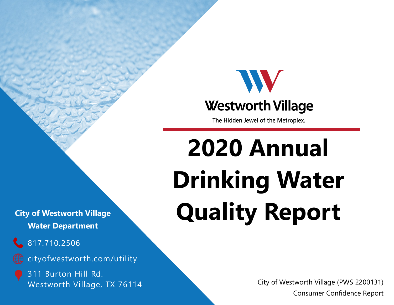

The Hidden Jewel of the Metroplex.

# **2020 Annual Drinking Water Quality Report**

City of Westworth Village (PWS 2200131) Consumer Confidence Report

**City of Westworth Village Water Department**

# 817.710.2506

cityofwestworth.com/utility

311 Burton Hill Rd. Westworth Village, TX 76114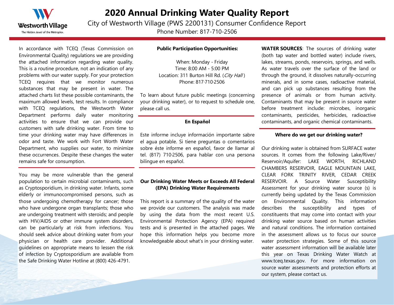

## **2020 Annual Drinking Water Quality Report**

City of Westworth Village (PWS 2200131) Consumer Confidence Report

Phone Number: 817-710-2506

In accordance with TCEQ (Texas Commission on Environmental Quality) regulations we are providing the attached information regarding water quality. This is a routine procedure, not an indication of any problems with our water supply. For your protection TCEQ requires that we monitor numerous substances that may be present in water. The attached charts list these possible contaminants, the maximum allowed levels, test results. In compliance with TCEQ regulations, the Westworth Water Department performs daily water monitoring activities to ensure that we can provide our customers with safe drinking water. From time to time your drinking water may have differences in odor and taste. We work with Fort Worth Water Department, who supplies our water, to minimize these occurrences. Despite these changes the water remains safe for consumption.

You may be more vulnerable than the general population to certain microbial contaminants, such as Cryptosporidium, in drinking water. Infants, some elderly or immunocompromised persons, such as those undergoing chemotherapy for cancer; those who have undergone organ transplants; those who are undergoing treatment with steroids; and people with HIV/AIDS or other immune system disorders, can be particularly at risk from infections. You should seek advice about drinking water from your physician or health care provider. Additional guidelines on appropriate means to lessen the risk of infection by Cryptosporidium are available from the Safe Drinking Water Hotline at (800) 426-4791.

#### **Public Participation Opportunities:**

When: Monday - Friday Time: 8:00 AM - 5:00 PM Location: 311 Burton Hill Rd. (City Hall) Phone: 817·710·2506

To learn about future public meetings (concerning your drinking water), or to request to schedule one, please call us.

#### **En Español**

Este informe incluye información importante sabre el agua potable. Si tiene preguntas o comentarios sobre éste informe en español, favor de lIamar al tel. (817) 710·2506, para hablar con una persona bilingue en español.

#### **Our Drinking Water Meets or Exceeds All Federal (EPA) Drinking Water Requirements**

This report is a summary of the quality of the water we provide our customers. The analysis was made by using the data from the most recent U.S. Environmental Protection Agency (EPA) required tests and is presented in the attached pages. We hope this information helps you become more knowledgeable about what's in your drinking water.

**WATER SOURCES**: The sources of drinking water (both tap water and bottled water) include rivers, lakes, streams, ponds, reservoirs, springs, and wells. As water travels over the surface of the land or through the ground, it dissolves naturally-occurring minerals, and in some cases, radioactive material, and can pick up substances resulting from the presence of animals or from human activity. Contaminants that may be present in source water before treatment include: microbes, inorganic contaminants, pesticides, herbicides, radioactive contaminants, and organic chemical contaminants.

#### **Where do we get our drinking water?**

Our drinking water is obtained from SURFACE water sources. It comes from the following Lake/River/ Reservoir/Aquifer: LAKE WORTH, RICHLAND CHAMBERS RESERVOIR, EAGLE MOUNTAIN LAKE, CLEAR FORK TRINITY RIVER, CEDAR CREEK RESERVOIR. A Source Water Susceptibility Assessment for your drinking water source (s) is currently being updated by the Texas Commission on Environmental Quality. This information describes the susceptibility and types of constituents that may come into contact with your drinking water source based on human activities and natural conditions. The information contained in the assessment allows us to focus our source water protection strategies. Some of this source water assessment information will be available later this year on Texas Drinking Water Watch at www.tceq.texas.gov. For more information on source water assessments and protection efforts at our system, please contact us.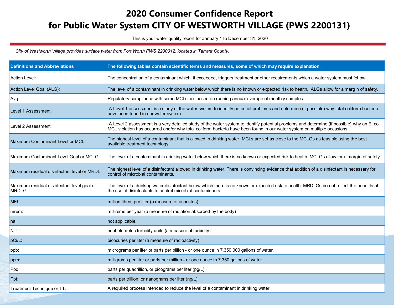# **2020 Consumer Confidence Report for Public Water System CITY OF WESTWORTH VILLAGE (PWS 2200131)**

This is your water quality report for January 1 to December 31, 2020

*City of Westworth Village provides surface water from Fort Worth PWS 2200012, located in Tarrant County.*

| <b>Definitions and Abbreviations</b>                  | The following tables contain scientific terms and measures, some of which may require explanation.                                                                                                                                                                      |
|-------------------------------------------------------|-------------------------------------------------------------------------------------------------------------------------------------------------------------------------------------------------------------------------------------------------------------------------|
| <b>Action Level:</b>                                  | The concentration of a contaminant which, if exceeded, triggers treatment or other requirements which a water system must follow.                                                                                                                                       |
| Action Level Goal (ALG):                              | The level of a contaminant in drinking water below which there is no known or expected risk to health. ALGs allow for a margin of safety.                                                                                                                               |
| Avg:                                                  | Regulatory compliance with some MCLs are based on running annual average of monthly samples.                                                                                                                                                                            |
| Level 1 Assessment:                                   | A Level 1 assessment is a study of the water system to identify potential problems and determine (if possible) why total coliform bacteria<br>have been found in our water system.                                                                                      |
| Level 2 Assessment:                                   | A Level 2 assessment is a very detailed study of the water system to identify potential problems and determine (if possible) why an E. coli<br>MCL violation has occurred and/or why total coliform bacteria have been found in our water system on multiple occasions. |
| Maximum Contaminant Level or MCL:                     | The highest level of a contaminant that is allowed in drinking water. MCLs are set as close to the MCLGs as feasible using the best<br>available treatment technology.                                                                                                  |
| Maximum Contaminant Level Goal or MCLG:               | The level of a contaminant in drinking water below which there is no known or expected risk to health. MCLGs allow for a margin of safety.                                                                                                                              |
| Maximum residual disinfectant level or MRDL:          | The highest level of a disinfectant allowed in drinking water. There is convincing evidence that addition of a disinfectant is necessary for<br>control of microbial contaminants.                                                                                      |
| Maximum residual disinfectant level goal or<br>MRDLG: | The level of a drinking water disinfectant below which there is no known or expected risk to health. MRDLGs do not reflect the benefits of<br>the use of disinfectants to control microbial contaminants.                                                               |
| MFL:                                                  | million fibers per liter (a measure of asbestos)                                                                                                                                                                                                                        |
| mrem:                                                 | millirems per year (a measure of radiation absorbed by the body)                                                                                                                                                                                                        |
| Ina:                                                  | not applicable.                                                                                                                                                                                                                                                         |
| NTU:                                                  | nephelometric turbidity units (a measure of turbidity)                                                                                                                                                                                                                  |
| pCi/L:                                                | picocuries per liter (a measure of radioactivity)                                                                                                                                                                                                                       |
| ppb:                                                  | micrograms per liter or parts per billion - or one ounce in 7,350,000 gallons of water.                                                                                                                                                                                 |
| ppm:                                                  | milligrams per liter or parts per million - or one ounce in 7,350 gallons of water.                                                                                                                                                                                     |
| Ppq:                                                  | parts per quadrillion, or picograms per liter (pg/L)                                                                                                                                                                                                                    |
| Ppt:                                                  | parts per trillion, or nanograms per liter (ng/L)                                                                                                                                                                                                                       |
| Treatment Technique or TT:                            | A required process intended to reduce the level of a contaminant in drinking water.                                                                                                                                                                                     |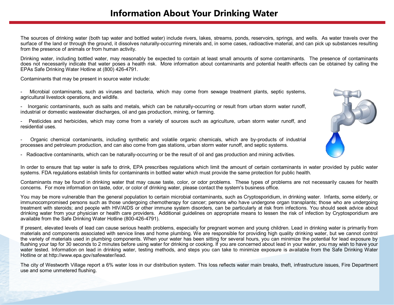The sources of drinking water (both tap water and bottled water) include rivers, lakes, streams, ponds, reservoirs, springs, and wells. As water travels over the surface of the land or through the ground, it dissolves naturally-occurring minerals and, in some cases, radioactive material, and can pick up substances resulting from the presence of animals or from human activity.

Drinking water, including bottled water, may reasonably be expected to contain at least small amounts of some contaminants. The presence of contaminants does not necessarily indicate that water poses a health risk. More information about contaminants and potential health effects can be obtained by calling the EPAs Safe Drinking Water Hotline at (800) 426-4791.

Contaminants that may be present in source water include:

- Microbial contaminants, such as viruses and bacteria, which may come from sewage treatment plants, septic systems, agricultural livestock operations, and wildlife.
- Inorganic contaminants, such as salts and metals, which can be naturally-occurring or result from urban storm water runoff, industrial or domestic wastewater discharges, oil and gas production, mining, or farming.
- Pesticides and herbicides, which may come from a variety of sources such as agriculture, urban storm water runoff, and residential uses.
- Organic chemical contaminants, including synthetic and volatile organic chemicals, which are by-products of industrial processes and petroleum production, and can also come from gas stations, urban storm water runoff, and septic systems.
- Radioactive contaminants, which can be naturally-occurring or be the result of oil and gas production and mining activities.

In order to ensure that tap water is safe to drink, EPA prescribes regulations which limit the amount of certain contaminants in water provided by public water systems. FDA regulations establish limits for contaminants in bottled water which must provide the same protection for public health.

Contaminants may be found in drinking water that may cause taste, color, or odor problems. These types of problems are not necessarily causes for health concerns. For more information on taste, odor, or color of drinking water, please contact the system's business office.

You may be more vulnerable than the general population to certain microbial contaminants, such as Cryptosporidium, in drinking water. Infants, some elderly, or immunocompromised persons such as those undergoing chemotherapy for cancer; persons who have undergone organ transplants; those who are undergoing treatment with steroids; and people with HIV/AIDS or other immune system disorders, can be particularly at risk from infections. You should seek advice about drinking water from your physician or health care providers. Additional guidelines on appropriate means to lessen the risk of infection by Cryptosporidium are available from the Safe Drinking Water Hotline (800-426-4791).

If present, elevated levels of lead can cause serious health problems, especially for pregnant women and young children. Lead in drinking water is primarily from materials and components associated with service lines and home plumbing. We are responsible for providing high quality drinking water, but we cannot control the variety of materials used in plumbing components. When your water has been sitting for several hours, you can minimize the potential for lead exposure by flushing your tap for 30 seconds to 2 minutes before using water for drinking or cooking. If you are concerned about lead in your water, you may wish to have your water tested. Information on lead in drinking water, testing methods, and steps you can take to minimize exposure is available from the Safe Drinking Water Hotline or at http://www.epa.gov/safewater/lead.

The city of Westworth Village report a 6% water loss in our distribution system. This loss reflects water main breaks, theft, infrastructure issues, Fire Department use and some unmetered flushing.

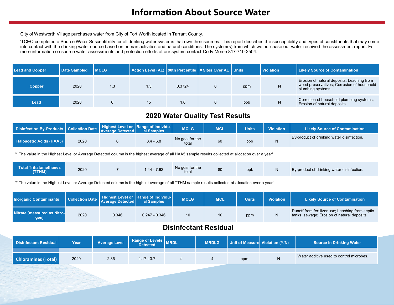City of Westworth Village purchases water from City of Fort Worth located in Tarrant County.

'TCEQ completed a Source Water Susceptibility for all drinking water systems that own their sources. This report describes the susceptibility and types of constituents that may come into contact with the drinking water source based on human activities and natural conditions. The system(s) from which we purchase our water received the assessment report. For more information on source water assessments and protection efforts at our system contact Cody Morse 817-710-2504.

| <b>Lead and Copper</b> | <b>Date Sampled</b> | <b>MCLG</b> | Action Level (AL)   90th Percentile   # Sites Over AL   Units |        |     | <b>Violation</b> | <b>Likely Source of Contamination</b>                                                                         |
|------------------------|---------------------|-------------|---------------------------------------------------------------|--------|-----|------------------|---------------------------------------------------------------------------------------------------------------|
| <b>Copper</b>          | 2020                | 1.3         |                                                               | 0.3724 | ppm | N                | Erosion of natural deposits; Leaching from<br>wood preservatives; Corrosion of household<br>plumbing systems. |
| Lead                   | 2020                |             | 15                                                            | 1.6    | ppb | N                | Corrosion of household plumbing systems;<br>Erosion of natural deposits.                                      |

#### **2020 Water Quality Test Results**

| Disinfection By-Products Collection Date Highest Level or Range of Individu- |      |             | <b>MCLG</b>              | <b>MCL</b> | <b>Units</b> | <b>Violation</b> | <b>Likely Source of Contamination</b>      |
|------------------------------------------------------------------------------|------|-------------|--------------------------|------------|--------------|------------------|--------------------------------------------|
| <b>Haloacetic Acids (HAA5)</b>                                               | 2020 | $3.4 - 6.8$ | No goal for the<br>total | 60         | ppb          |                  | By-product of drinking water disinfection. |

'\* The value in the Highest Level or Average Detected column is the highest average of all HAA5 sample results collected at a location over a year'

| <b>Total Trihalomethanes</b><br>(TTHM) | 2020 |  | 7.62<br>. 44 - 1 | No goal for the<br>total | 80 | ppb |  | By-product of drinking water disinfection. |
|----------------------------------------|------|--|------------------|--------------------------|----|-----|--|--------------------------------------------|
|----------------------------------------|------|--|------------------|--------------------------|----|-----|--|--------------------------------------------|

'\* The value in the Highest Level or Average Detected column is the highest average of all TTHM sample results collected at alocation over a year'

| Inorganic Contaminants              |      | <b>Example 2018</b> Collection Date Average Detected | Highest Level or Range of Individu-<br>al Samples | <b>MCLG</b>     | <b>MCL</b> | <b>Units</b> | <b>Violation</b> | <b>Likely Source of Contamination</b>                                                           |
|-------------------------------------|------|------------------------------------------------------|---------------------------------------------------|-----------------|------------|--------------|------------------|-------------------------------------------------------------------------------------------------|
| Nitrate [measured as Nitro-<br>gen] | 2020 | 0.346                                                | $0.247 - 0.346$                                   | 10 <sup>1</sup> | 10         | ppm          |                  | Runoff from fertilizer use; Leaching from septic<br>tanks, sewage; Erosion of natural deposits. |

#### **Disinfectant Residual**

| Disinfectant Residual I    | Year | <b>Average Level</b> | Range of Levels MRDL<br>Detected | <b>MRDLG</b> | Unit of Measure Violation (Y/N) | <b>Source in Drinking Water</b>          |
|----------------------------|------|----------------------|----------------------------------|--------------|---------------------------------|------------------------------------------|
|                            |      |                      |                                  |              |                                 |                                          |
| <b>Chloramines (Total)</b> | 2020 | 2.86                 | $1.17 - 3.7$                     |              | ppm                             | Water additive used to control microbes. |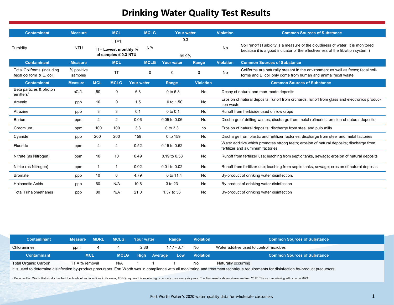## **Drinking Water Quality Test Results**

| <b>Contaminant</b>                                             | <b>Measure</b>        |                | <b>MCL</b>                                                    | <b>MCLG</b>       | <b>Your water</b> |                  | <b>Violation</b> | <b>Common Sources of Substance</b>                                                                                                                                |
|----------------------------------------------------------------|-----------------------|----------------|---------------------------------------------------------------|-------------------|-------------------|------------------|------------------|-------------------------------------------------------------------------------------------------------------------------------------------------------------------|
| Turbidity                                                      | <b>NTU</b>            |                | $TT = 1$<br>TT= Lowest monthly %<br>of samples $\leq 0.3$ NTU | N/A               | 0.3<br>99.9%      |                  | No               | Soil runoff (Turbidity is a measure of the cloudiness of water. It is monitored<br>because it is a good indicator of the effectiveness of the filtration system.) |
| <b>Contaminant</b>                                             | <b>Measure</b>        |                | <b>MCL</b>                                                    | <b>MCLG</b>       | <b>Your water</b> | Range            | <b>Violation</b> | <b>Common Sources of Substance</b>                                                                                                                                |
| <b>Total Coliforms (including</b><br>fecal coliform & E. coli) | % positive<br>samples |                | <b>TT</b>                                                     | $\Omega$          | $\mathbf{0}$      | $\Omega$         | No               | Coliforms are naturally present in the environment as well as feces; fecal coli-<br>forms and E. coli only come from human and animal fecal waste.                |
| <b>Contaminant</b>                                             | <b>Measure</b>        | <b>MCL</b>     | <b>MCLG</b>                                                   | <b>Your water</b> | Range             | <b>Violation</b> |                  | <b>Common Sources of Substance</b>                                                                                                                                |
| Beta particles & photon<br>emitters <sup>1</sup>               | pCi/L                 | 50             | 0                                                             | 6.8               | 0 to 6.8          | No               |                  | Decay of natural and man-made deposits                                                                                                                            |
| Arsenic                                                        | ppb                   | 10             | 0                                                             | 1.5               | 0 to 1.50         | No               | tion waste       | Erosion of natural deposits; runoff from orchards, runoff from glass and electronics produc-                                                                      |
| Atrazine                                                       | ppb                   | 3              | 3                                                             | 0.1               | $0$ to $0.1$      | No               |                  | Runoff from herbicide used on row crops                                                                                                                           |
| Barium                                                         | ppm                   | 2              | $\overline{2}$                                                | 0.06              | 0.05 to 0.06      | No               |                  | Discharge of drilling wastes; discharge from metal refineries; erosion of natural deposits                                                                        |
| Chromium                                                       | ppm                   | 100            | 100                                                           | 3.3               | $0$ to $3.3$      | no               |                  | Erosion of natural deposits; discharge from steel and pulp mills                                                                                                  |
| Cyanide                                                        | ppb                   | 200            | 200                                                           | 159               | 0 to 159          | No               |                  | Discharge from plastic and fertilizer factories; discharge from steel and metal factories                                                                         |
| Fluoride                                                       | ppm                   | $\overline{4}$ | 4                                                             | 0.52              | $0.15$ to $0.52$  | No               |                  | Water additive which promotes strong teeth; erosion of natural deposits; discharge from<br>fertilizer and aluminum factories                                      |
| Nitrate (as Nitrogen)                                          | ppm                   | 10             | 10                                                            | 0.49              | 0.19 to 0.58      | No               |                  | Runoff from fertilizer use; leaching from septic tanks, sewage; erosion of natural deposits                                                                       |
| Nitrite (as Nitrogen)                                          | ppm                   | -1             | $\mathbf 1$                                                   | 0.02              | 0.01 to 0.02      | No               |                  | Runoff from fertilizer use; leaching from septic tanks, sewage; erosion of natural deposits                                                                       |
| <b>Bromate</b>                                                 | ppb                   | 10             | 0                                                             | 4.79              | 0 to 11.4         | No               |                  | By-product of drinking water disinfection.                                                                                                                        |
| <b>Haloacetic Acids</b>                                        | ppb                   | 60             | N/A                                                           | 10.6              | 3 to 23           | No               |                  | By-product of drinking water disinfection                                                                                                                         |
| <b>Total Trihalomethanes</b>                                   | ppb                   | 80             | N/A                                                           | 21.0              | 1.37 to 56        | No               |                  | By-product of drinking water disinfection                                                                                                                         |

| <b>Contaminant</b>                                                                                                                                                                                                                                        | <b>Measure</b>   | <b>MDRL</b> | <b>MCLG</b> | Your water  | Range              | <b>Violation</b> | <b>Common Sources of Substance</b>      |
|-----------------------------------------------------------------------------------------------------------------------------------------------------------------------------------------------------------------------------------------------------------|------------------|-------------|-------------|-------------|--------------------|------------------|-----------------------------------------|
| Chloramines                                                                                                                                                                                                                                               | ppm              |             |             | 2.86        | $1.17 - 3.7$       | No               | Water additive used to control microbes |
| <b>Contaminant</b>                                                                                                                                                                                                                                        | <b>MCL</b>       |             | <b>MCLG</b> | <b>High</b> | <b>Average Low</b> | <b>Violation</b> | <b>Common Sources of Substance</b>      |
| Total Organic Carbon<br>$\mathbf{a}$ . The state of the state of the state of the state of the state of the state of the state of the state of the state of the state of the state of the state of the state of the state of the state of the state of th | $TT = %$ removal |             | N/A         |             |                    | No               | Naturally occurring                     |

It is used to determine disinfection by-product precursors. Fort Worth was in compliance with all monitoring and treatment technique requirements for disinfection by-product precursors.

1 Because Fort Worth Historically has had low levels of radionuclides in its water, TCEQ requires this monitoring occur only once every six years. The Test results shown above are from 2017. The next monitoring will occur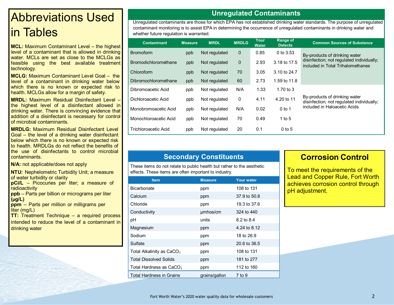# Abbreviations Used in Tables

**MCL:** Maximum Contaminant Level – the highest level of a contaminant that is allowed in drinking water. MCLs are set as close to the MCLGs as feasible using the best available treatment technology.

**MCLG:** Maximum Contaminant Level Goal – the level of a contaminant in drinking water below which there is no known or expected risk to health. MCLGs allow for a margin of safety.

**MRDL:** Maximum Residual Disinfectant Level – the highest level of a disinfectant allowed in drinking water. There is convincing evidence that addition of a disinfectant is necessary for control of microbial contaminants.

**MRDLG:** Maximum Residual Disinfectant Level Goal – the level of a drinking water disinfectant below which there is no known or expected risk to health. MRDLGs do not reflect the benefits of the use of disinfectants to control microbial contaminants.

**N/A:** not applicable/does not apply

**NTU:** Nephelometric Turbidity Unit; a measure of water turbidity or clarity

**pCi/L** – Picocuries per liter; a measure of radioactivity

**ppb** – Parts per billion or micrograms per liter **(µg/L)** 

**ppm** – Parts per million or milligrams per liter (mg/L)

**TT:** Treatment Technique – a required process intended to reduce the level of a contaminant in drinking water

#### **Unregulated Contaminants**

Unregulated contaminants are those for which EPA has not established drinking water standards. The purpose of unregulated contaminant monitoring is to assist EPA in determining the occurrence of unregulated contaminants in drinking water and whether future regulation is warranted.

| <b>Contaminant</b>          | <b>Measure</b> | <b>MRDL</b>   | <b>MRDLG</b> | Your<br><b>Water</b> | <b>Range of</b><br><b>Detects</b> | <b>Common Sources of Substance</b>                                             |
|-----------------------------|----------------|---------------|--------------|----------------------|-----------------------------------|--------------------------------------------------------------------------------|
| <b>Bromoform</b>            | ppb            | Not regulated | $\mathbf{0}$ | 0.85                 | 0 to $3.53$                       | By-products of drinking water                                                  |
| <b>Bromodichloromethane</b> | ppb            | Not regulated | $\mathbf 0$  | 2.93                 | 3.18 to 17.5                      | disinfection; not regulated individually;<br>included in Total Trihalomethanes |
| Chloroform                  | ppb            | Not regulated | 70           | 3.05                 | 3.10 to 24.7                      |                                                                                |
| Dibromochloromethane        | ppb            | Not regulated | 60           | 2.73                 | 1.59 to 11.8                      |                                                                                |
| Dibromoacetic Acid          | ppb            | Not regulated | N/A          | 1.33                 | 1.70 to $3$                       |                                                                                |
| Dichloroacetic Acid         | ppb            | Not regulated | 0            | 4.11                 | 4.20 to 11                        | By-products of drinking water<br>disinfection; not regulated individually;     |
| Monobromoacetic Acid        | ppb            | Not regulated | N/A          | 0.02                 | $0$ to 1                          | included in Haloacetic Acids                                                   |
| Monochloroacetic Acid       | ppb            | Not regulated | 70           | 0.49                 | 1 to 5                            |                                                                                |
| Trichloroacetic Acid        | ppb            | Not regulated | 20           | 0.1                  | $0$ to 5                          |                                                                                |

### **Secondary Constituents**

These items do not relate to public health but rather to the aesthetic effects. These items are often important to industry.

| <b>Item</b>                           | <b>Measure</b> | <b>Your water</b> |
|---------------------------------------|----------------|-------------------|
| Bicarbonate                           | ppm            | 108 to 131        |
| Calcium                               | ppm            | 37.9 to 50.8      |
| Chloride                              | ppm            | 19.3 to 37.6      |
| Conductivity                          | umhos/cm       | 324 to 440        |
| рH                                    | units          | 8.2 to 8.4        |
| Magnesium                             | ppm            | 4.24 to 8.12      |
| Sodium                                | ppm            | 18 to 26.9        |
| Sulfate                               | ppm            | 20.6 to 36.5      |
| Total Alkalinity as CaCO <sub>3</sub> | ppm            | 108 to 131        |
| <b>Total Dissolved Solids</b>         | ppm            | 181 to 277        |
| Total Hardness as $CaCO3$             | ppm            | 112 to 160        |
| Total Hardness in Grains              | grains/gallon  | 7 to 9            |

## **Corrosion Control**

To meet the requirements of the Lead and Copper Rule, Fort Worth achieves corrosion control through pH adjustment.